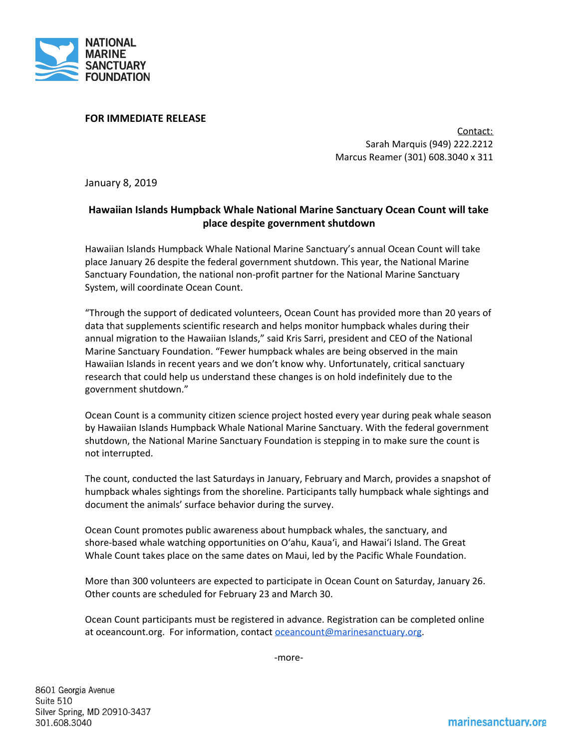

## **FOR IMMEDIATE RELEASE**

 Sarah Marquis (949) 222.2212 Contact: Marcus Reamer (301) 608.3040 x 311

January 8, 2019

## **Hawaiian Islands Humpback Whale National Marine Sanctuary Ocean Count will take place despite government shutdown**

 Hawaiian Islands Humpback Whale National Marine Sanctuary's annual Ocean Count will take place January 26 despite the federal government shutdown. This year, the National Marine Sanctuary Foundation, the national non-profit partner for the National Marine Sanctuary System, will coordinate Ocean Count.

 "Through the support of dedicated volunteers, Ocean Count has provided more than 20 years of data that supplements scientific research and helps monitor humpback whales during their annual migration to the Hawaiian Islands," said Kris Sarri, president and CEO of the National Marine Sanctuary Foundation. "Fewer humpback whales are being observed in the main Hawaiian Islands in recent years and we don't know why. Unfortunately, critical sanctuary research that could help us understand these changes is on hold indefinitely due to the government shutdown."

 Ocean Count is a community citizen science project hosted every year during peak whale season by Hawaiian Islands Humpback Whale National Marine Sanctuary. With the federal government shutdown, the National Marine Sanctuary Foundation is stepping in to make sure the count is not interrupted.

 The count, conducted the last Saturdays in January, February and March, provides a snapshot of humpback whales sightings from the shoreline. Participants tally humpback whale sightings and document the animals' surface behavior during the survey.

 Ocean Count promotes public awareness about humpback whales, the sanctuary, and shore-based whale watching opportunities on O'ahu, Kaua'i, and Hawai'i Island. The Great Whale Count takes place on the same dates on Maui, led by the Pacific Whale Foundation.

 More than 300 volunteers are expected to participate in Ocean Count on Saturday, January 26. Other counts are scheduled for February 23 and March 30.

 Ocean Count participants must be registered in advance. Registration can be completed online at [oceancount.org.](https://oceancount.org) For information, contact **[oceancount@marinesanctuary.org](mailto:oceancount@marinesanctuary.org)**.

-more-

8601 Georgia Avenue Suite 510 Silver Spring, MD 20910-3437 301.608.3040